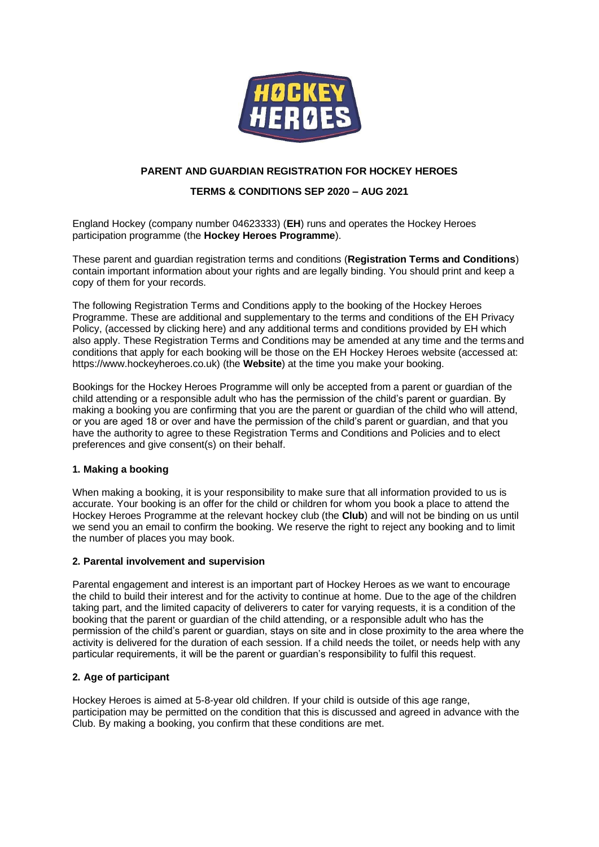

# **PARENT AND GUARDIAN REGISTRATION FOR HOCKEY HEROES**

## **TERMS & CONDITIONS SEP 2020 – AUG 2021**

England Hockey (company number 04623333) (**EH**) runs and operates the Hockey Heroes participation programme (the **Hockey Heroes Programme**).

These parent and guardian registration terms and conditions (**Registration Terms and Conditions**) contain important information about your rights and are legally binding. You should print and keep a copy of them for your records.

The following Registration Terms and Conditions apply to the booking of the Hockey Heroes Programme. These are additional and supplementary to the terms and conditions of the EH Privacy Policy, (accessed by clicking here) and any additional terms and conditions provided by EH which also apply. These Registration Terms and Conditions may be amended at any time and the terms and conditions that apply for each booking will be those on the EH Hockey Heroes website (accessed at: https://www.hockeyheroes.co.uk) (the **Website**) at the time you make your booking.

Bookings for the Hockey Heroes Programme will only be accepted from a parent or guardian of the child attending or a responsible adult who has the permission of the child's parent or guardian. By making a booking you are confirming that you are the parent or guardian of the child who will attend, or you are aged 18 or over and have the permission of the child's parent or guardian, and that you have the authority to agree to these Registration Terms and Conditions and Policies and to elect preferences and give consent(s) on their behalf.

### **1. Making a booking**

When making a booking, it is your responsibility to make sure that all information provided to us is accurate. Your booking is an offer for the child or children for whom you book a place to attend the Hockey Heroes Programme at the relevant hockey club (the **Club**) and will not be binding on us until we send you an email to confirm the booking. We reserve the right to reject any booking and to limit the number of places you may book.

#### **2. Parental involvement and supervision**

Parental engagement and interest is an important part of Hockey Heroes as we want to encourage the child to build their interest and for the activity to continue at home. Due to the age of the children taking part, and the limited capacity of deliverers to cater for varying requests, it is a condition of the booking that the parent or guardian of the child attending, or a responsible adult who has the permission of the child's parent or guardian, stays on site and in close proximity to the area where the activity is delivered for the duration of each session. If a child needs the toilet, or needs help with any particular requirements, it will be the parent or guardian's responsibility to fulfil this request.

## **2. Age of participant**

Hockey Heroes is aimed at 5-8-year old children. If your child is outside of this age range, participation may be permitted on the condition that this is discussed and agreed in advance with the Club. By making a booking, you confirm that these conditions are met.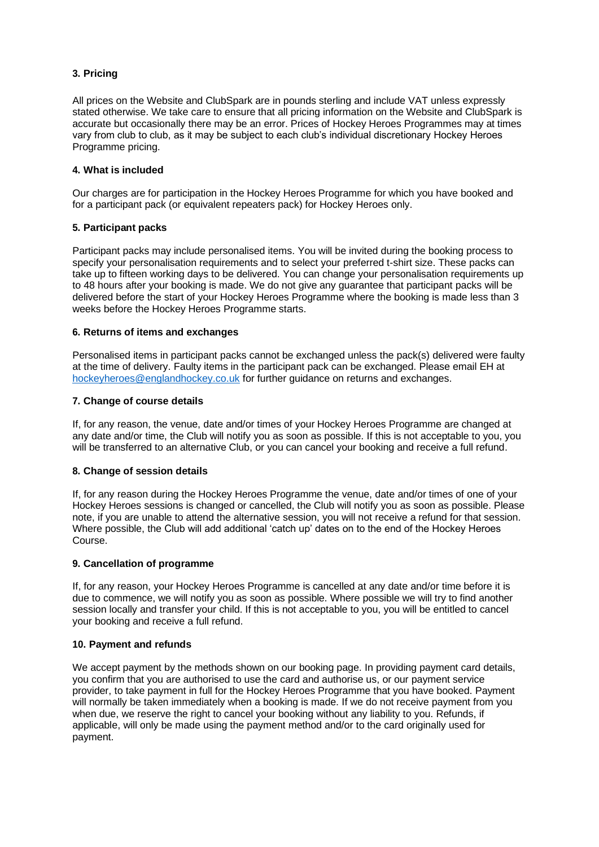# **3. Pricing**

All prices on the Website and ClubSpark are in pounds sterling and include VAT unless expressly stated otherwise. We take care to ensure that all pricing information on the Website and ClubSpark is accurate but occasionally there may be an error. Prices of Hockey Heroes Programmes may at times vary from club to club, as it may be subject to each club's individual discretionary Hockey Heroes Programme pricing.

### **4. What is included**

Our charges are for participation in the Hockey Heroes Programme for which you have booked and for a participant pack (or equivalent repeaters pack) for Hockey Heroes only.

### **5. Participant packs**

Participant packs may include personalised items. You will be invited during the booking process to specify your personalisation requirements and to select your preferred t-shirt size. These packs can take up to fifteen working days to be delivered. You can change your personalisation requirements up to 48 hours after your booking is made. We do not give any guarantee that participant packs will be delivered before the start of your Hockey Heroes Programme where the booking is made less than 3 weeks before the Hockey Heroes Programme starts.

### **6. Returns of items and exchanges**

Personalised items in participant packs cannot be exchanged unless the pack(s) delivered were faulty at the time of delivery. Faulty items in the participant pack can be exchanged. Please email EH at [hockeyheroes@englandhockey.co.uk](mailto:hockeyheroes@englandhockey.co.uk) for further guidance on returns and exchanges.

### **7. Change of course details**

If, for any reason, the venue, date and/or times of your Hockey Heroes Programme are changed at any date and/or time, the Club will notify you as soon as possible. If this is not acceptable to you, you will be transferred to an alternative Club, or you can cancel your booking and receive a full refund.

## **8. Change of session details**

If, for any reason during the Hockey Heroes Programme the venue, date and/or times of one of your Hockey Heroes sessions is changed or cancelled, the Club will notify you as soon as possible. Please note, if you are unable to attend the alternative session, you will not receive a refund for that session. Where possible, the Club will add additional 'catch up' dates on to the end of the Hockey Heroes Course.

## **9. Cancellation of programme**

If, for any reason, your Hockey Heroes Programme is cancelled at any date and/or time before it is due to commence, we will notify you as soon as possible. Where possible we will try to find another session locally and transfer your child. If this is not acceptable to you, you will be entitled to cancel your booking and receive a full refund.

#### **10. Payment and refunds**

We accept payment by the methods shown on our booking page. In providing payment card details, you confirm that you are authorised to use the card and authorise us, or our payment service provider, to take payment in full for the Hockey Heroes Programme that you have booked. Payment will normally be taken immediately when a booking is made. If we do not receive payment from you when due, we reserve the right to cancel your booking without any liability to you. Refunds, if applicable, will only be made using the payment method and/or to the card originally used for payment.